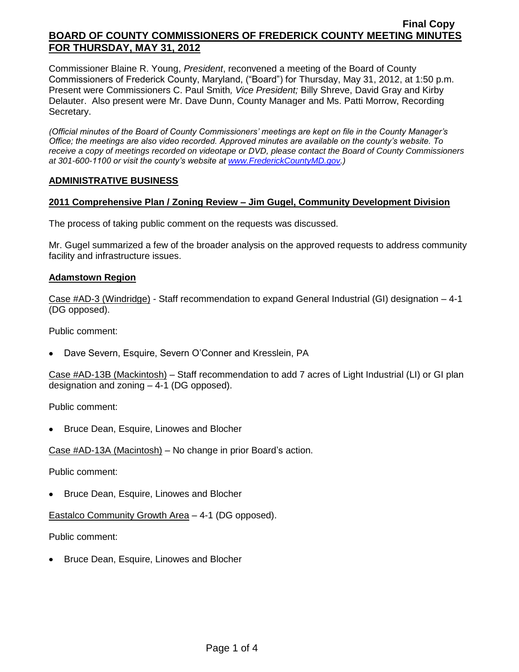Commissioner Blaine R. Young, *President*, reconvened a meeting of the Board of County Commissioners of Frederick County, Maryland, ("Board") for Thursday, May 31, 2012, at 1:50 p.m. Present were Commissioners C. Paul Smith*, Vice President;* Billy Shreve, David Gray and Kirby Delauter. Also present were Mr. Dave Dunn, County Manager and Ms. Patti Morrow, Recording Secretary.

*(Official minutes of the Board of County Commissioners' meetings are kept on file in the County Manager's Office; the meetings are also video recorded. Approved minutes are available on the county's website. To receive a copy of meetings recorded on videotape or DVD, please contact the Board of County Commissioners at 301-600-1100 or visit the county's website at [www.FrederickCountyMD.gov.](http://www.frederickcountymd.gov/))*

#### **ADMINISTRATIVE BUSINESS**

## **2011 Comprehensive Plan / Zoning Review – Jim Gugel, Community Development Division**

The process of taking public comment on the requests was discussed.

Mr. Gugel summarized a few of the broader analysis on the approved requests to address community facility and infrastructure issues.

#### **Adamstown Region**

Case #AD-3 (Windridge) - Staff recommendation to expand General Industrial (GI) designation – 4-1 (DG opposed).

Public comment:

Dave Severn, Esquire, Severn O'Conner and Kresslein, PA

Case #AD-13B (Mackintosh) – Staff recommendation to add 7 acres of Light Industrial (LI) or GI plan designation and zoning – 4-1 (DG opposed).

Public comment:

Bruce Dean, Esquire, Linowes and Blocher

Case #AD-13A (Macintosh) – No change in prior Board's action.

Public comment:

• Bruce Dean, Esquire, Linowes and Blocher

Eastalco Community Growth Area – 4-1 (DG opposed).

Public comment:

Bruce Dean, Esquire, Linowes and Blocher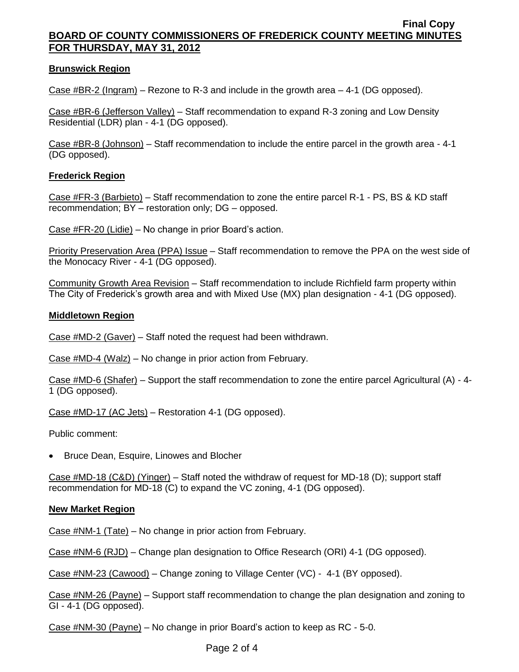## **Brunswick Region**

Case #BR-2 (Ingram) – Rezone to R-3 and include in the growth area – 4-1 (DG opposed).

Case #BR-6 (Jefferson Valley) – Staff recommendation to expand R-3 zoning and Low Density Residential (LDR) plan - 4-1 (DG opposed).

Case #BR-8 (Johnson) – Staff recommendation to include the entire parcel in the growth area - 4-1 (DG opposed).

## **Frederick Region**

Case #FR-3 (Barbieto) – Staff recommendation to zone the entire parcel R-1 - PS, BS & KD staff recommendation; BY – restoration only; DG – opposed.

Case #FR-20 (Lidie) – No change in prior Board's action.

Priority Preservation Area (PPA) Issue - Staff recommendation to remove the PPA on the west side of the Monocacy River - 4-1 (DG opposed).

Community Growth Area Revision – Staff recommendation to include Richfield farm property within The City of Frederick's growth area and with Mixed Use (MX) plan designation - 4-1 (DG opposed).

#### **Middletown Region**

Case #MD-2 (Gaver) – Staff noted the request had been withdrawn.

Case #MD-4 (Walz) – No change in prior action from February.

Case #MD-6 (Shafer) – Support the staff recommendation to zone the entire parcel Agricultural (A) - 4- 1 (DG opposed).

Case #MD-17 (AC Jets) – Restoration 4-1 (DG opposed).

Public comment:

• Bruce Dean, Esquire, Linowes and Blocher

Case #MD-18 (C&D) (Yinger) – Staff noted the withdraw of request for MD-18 (D); support staff recommendation for MD-18 (C) to expand the VC zoning, 4-1 (DG opposed).

#### **New Market Region**

Case #NM-1 (Tate) – No change in prior action from February.

Case #NM-6 (RJD) – Change plan designation to Office Research (ORI) 4-1 (DG opposed).

Case #NM-23 (Cawood) – Change zoning to Village Center (VC) - 4-1 (BY opposed).

Case #NM-26 (Payne) – Support staff recommendation to change the plan designation and zoning to GI - 4-1 (DG opposed).

Case #NM-30 (Payne) – No change in prior Board's action to keep as RC - 5-0.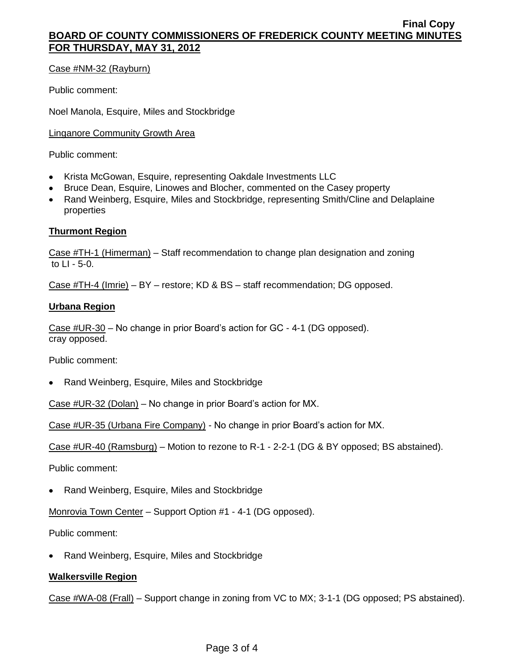Case #NM-32 (Rayburn)

Public comment:

Noel Manola, Esquire, Miles and Stockbridge

Linganore Community Growth Area

Public comment:

- Krista McGowan, Esquire, representing Oakdale Investments LLC
- Bruce Dean, Esquire, Linowes and Blocher, commented on the Casey property
- Rand Weinberg, Esquire, Miles and Stockbridge, representing Smith/Cline and Delaplaine properties

#### **Thurmont Region**

Case #TH-1 (Himerman) – Staff recommendation to change plan designation and zoning to LI - 5-0.

Case #TH-4 (Imrie) – BY – restore; KD & BS – staff recommendation; DG opposed.

#### **Urbana Region**

Case #UR-30 – No change in prior Board's action for GC - 4-1 (DG opposed). cray opposed.

Public comment:

Rand Weinberg, Esquire, Miles and Stockbridge

Case #UR-32 (Dolan) – No change in prior Board's action for MX.

Case #UR-35 (Urbana Fire Company) - No change in prior Board's action for MX.

Case #UR-40 (Ramsburg) – Motion to rezone to R-1 - 2-2-1 (DG & BY opposed; BS abstained).

Public comment:

Rand Weinberg, Esquire, Miles and Stockbridge

Monrovia Town Center – Support Option #1 - 4-1 (DG opposed).

Public comment:

Rand Weinberg, Esquire, Miles and Stockbridge

## **Walkersville Region**

Case #WA-08 (Frall) – Support change in zoning from VC to MX; 3-1-1 (DG opposed; PS abstained).